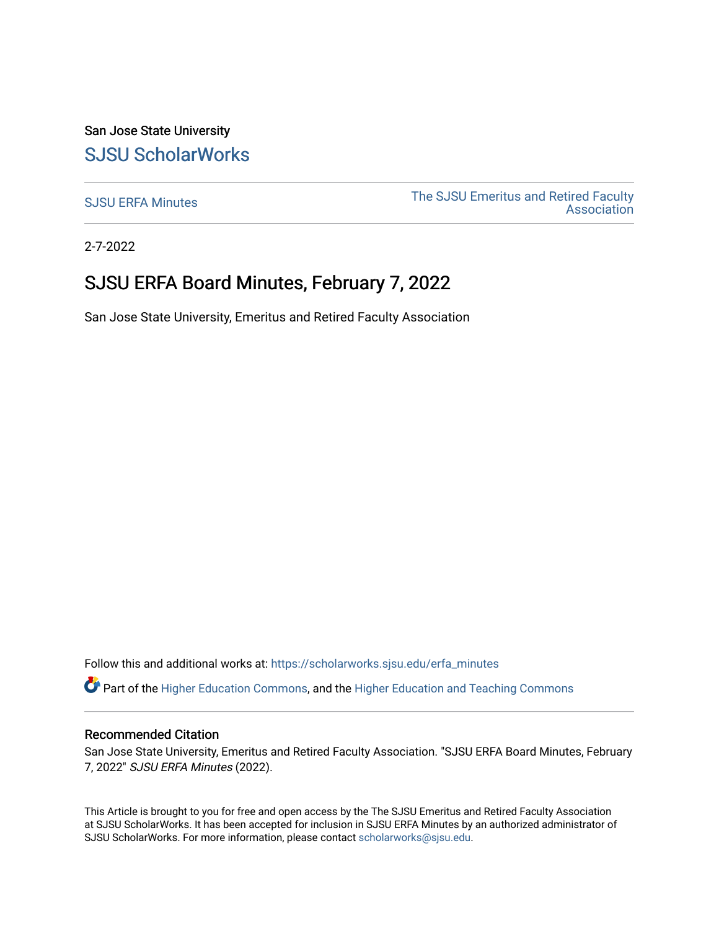San Jose State University [SJSU ScholarWorks](https://scholarworks.sjsu.edu/) 

[SJSU ERFA Minutes](https://scholarworks.sjsu.edu/erfa_minutes) The SJSU Emeritus and Retired Faculty **Association** 

2-7-2022

# SJSU ERFA Board Minutes, February 7, 2022

San Jose State University, Emeritus and Retired Faculty Association

Follow this and additional works at: [https://scholarworks.sjsu.edu/erfa\\_minutes](https://scholarworks.sjsu.edu/erfa_minutes?utm_source=scholarworks.sjsu.edu%2Ferfa_minutes%2F68&utm_medium=PDF&utm_campaign=PDFCoverPages)

Part of the [Higher Education Commons,](http://network.bepress.com/hgg/discipline/1245?utm_source=scholarworks.sjsu.edu%2Ferfa_minutes%2F68&utm_medium=PDF&utm_campaign=PDFCoverPages) and the [Higher Education and Teaching Commons](http://network.bepress.com/hgg/discipline/806?utm_source=scholarworks.sjsu.edu%2Ferfa_minutes%2F68&utm_medium=PDF&utm_campaign=PDFCoverPages) 

#### Recommended Citation

San Jose State University, Emeritus and Retired Faculty Association. "SJSU ERFA Board Minutes, February 7, 2022" SJSU ERFA Minutes (2022).

This Article is brought to you for free and open access by the The SJSU Emeritus and Retired Faculty Association at SJSU ScholarWorks. It has been accepted for inclusion in SJSU ERFA Minutes by an authorized administrator of SJSU ScholarWorks. For more information, please contact [scholarworks@sjsu.edu](mailto:scholarworks@sjsu.edu).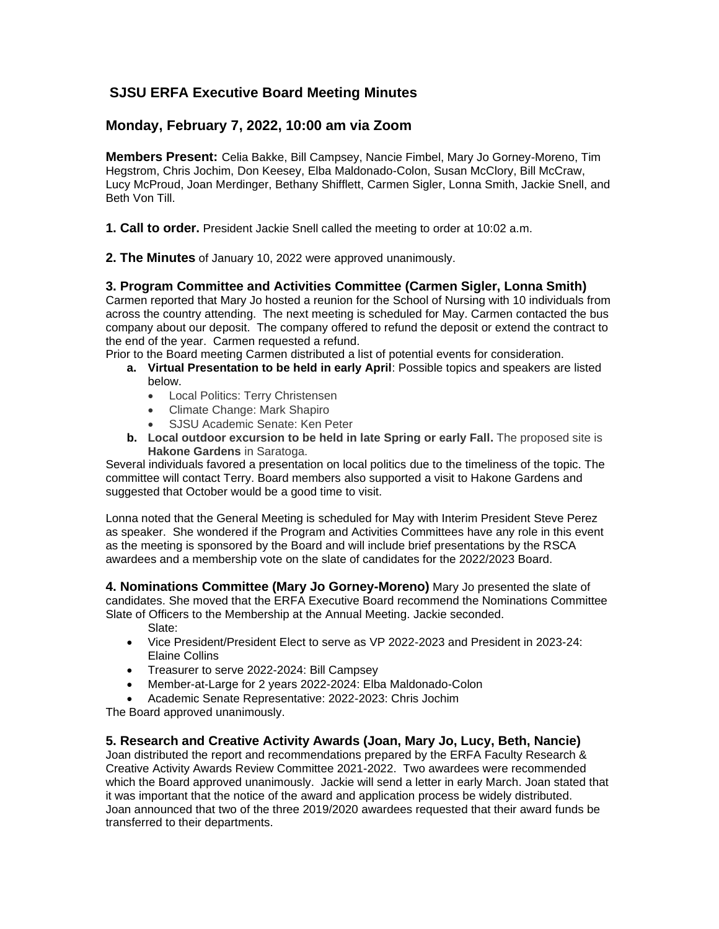# **SJSU ERFA Executive Board Meeting Minutes**

## **Monday, February 7, 2022, 10:00 am via Zoom**

**Members Present:** Celia Bakke, Bill Campsey, Nancie Fimbel, Mary Jo Gorney-Moreno, Tim Hegstrom, Chris Jochim, Don Keesey, Elba Maldonado-Colon, Susan McClory, Bill McCraw, Lucy McProud, Joan Merdinger, Bethany Shifflett, Carmen Sigler, Lonna Smith, Jackie Snell, and Beth Von Till.

**1. Call to order.** President Jackie Snell called the meeting to order at 10:02 a.m.

**2. The Minutes** of January 10, 2022 were approved unanimously.

## **3. Program Committee and Activities Committee (Carmen Sigler, Lonna Smith)**

Carmen reported that Mary Jo hosted a reunion for the School of Nursing with 10 individuals from across the country attending. The next meeting is scheduled for May. Carmen contacted the bus company about our deposit. The company offered to refund the deposit or extend the contract to the end of the year. Carmen requested a refund.

Prior to the Board meeting Carmen distributed a list of potential events for consideration.

- **a. Virtual Presentation to be held in early April**: Possible topics and speakers are listed below.
	- Local Politics: Terry Christensen
	- Climate Change: Mark Shapiro
	- SJSU Academic Senate: Ken Peter
- **b. Local outdoor excursion to be held in late Spring or early Fall.** The proposed site is **Hakone Gardens** in Saratoga.

Several individuals favored a presentation on local politics due to the timeliness of the topic. The committee will contact Terry. Board members also supported a visit to Hakone Gardens and suggested that October would be a good time to visit.

Lonna noted that the General Meeting is scheduled for May with Interim President Steve Perez as speaker. She wondered if the Program and Activities Committees have any role in this event as the meeting is sponsored by the Board and will include brief presentations by the RSCA awardees and a membership vote on the slate of candidates for the 2022/2023 Board.

**4. Nominations Committee (Mary Jo Gorney-Moreno)** Mary Jo presented the slate of candidates. She moved that the ERFA Executive Board recommend the Nominations Committee Slate of Officers to the Membership at the Annual Meeting. Jackie seconded.

Slate:

- Vice President/President Elect to serve as VP 2022-2023 and President in 2023-24: Elaine Collins
- Treasurer to serve 2022-2024: Bill Campsey
- Member-at-Large for 2 years 2022-2024: Elba Maldonado-Colon
- Academic Senate Representative: 2022-2023: Chris Jochim

The Board approved unanimously.

#### **5. Research and Creative Activity Awards (Joan, Mary Jo, Lucy, Beth, Nancie)**

Joan distributed the report and recommendations prepared by the ERFA Faculty Research & Creative Activity Awards Review Committee 2021-2022. Two awardees were recommended which the Board approved unanimously. Jackie will send a letter in early March. Joan stated that it was important that the notice of the award and application process be widely distributed. Joan announced that two of the three 2019/2020 awardees requested that their award funds be transferred to their departments.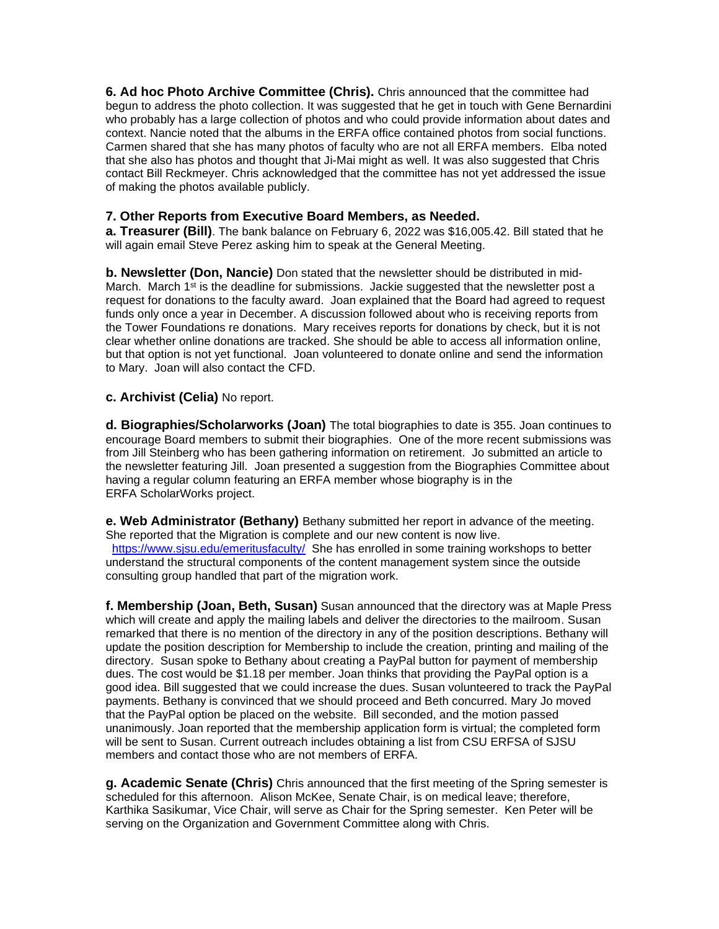**6. Ad hoc Photo Archive Committee (Chris).** Chris announced that the committee had begun to address the photo collection. It was suggested that he get in touch with Gene Bernardini who probably has a large collection of photos and who could provide information about dates and context. Nancie noted that the albums in the ERFA office contained photos from social functions. Carmen shared that she has many photos of faculty who are not all ERFA members. Elba noted that she also has photos and thought that Ji-Mai might as well. It was also suggested that Chris contact Bill Reckmeyer. Chris acknowledged that the committee has not yet addressed the issue of making the photos available publicly.

## **7. Other Reports from Executive Board Members, as Needed.**

**a. Treasurer (Bill)**. The bank balance on February 6, 2022 was \$16,005.42. Bill stated that he will again email Steve Perez asking him to speak at the General Meeting.

**b. Newsletter (Don, Nancie)** Don stated that the newsletter should be distributed in mid-March. March  $1<sup>st</sup>$  is the deadline for submissions. Jackie suggested that the newsletter post a request for donations to the faculty award. Joan explained that the Board had agreed to request funds only once a year in December. A discussion followed about who is receiving reports from the Tower Foundations re donations. Mary receives reports for donations by check, but it is not clear whether online donations are tracked. She should be able to access all information online, but that option is not yet functional. Joan volunteered to donate online and send the information to Mary. Joan will also contact the CFD.

#### **c. Archivist (Celia)** No report.

**d. Biographies/Scholarworks (Joan)** The total biographies to date is 355. Joan continues to encourage Board members to submit their biographies. One of the more recent submissions was from Jill Steinberg who has been gathering information on retirement. Jo submitted an article to the newsletter featuring Jill. Joan presented a suggestion from the Biographies Committee about having a regular column featuring an ERFA member whose biography is in the ERFA ScholarWorks project.

**e. Web Administrator (Bethany)** Bethany submitted her report in advance of the meeting. She reported that the Migration is complete and our new content is now live. <https://www.sjsu.edu/emeritusfaculty/> She has enrolled in some training workshops to better understand the structural components of the content management system since the outside

consulting group handled that part of the migration work. **f. Membership (Joan, Beth, Susan)** Susan announced that the directory was at Maple Press

which will create and apply the mailing labels and deliver the directories to the mailroom. Susan remarked that there is no mention of the directory in any of the position descriptions. Bethany will update the position description for Membership to include the creation, printing and mailing of the directory. Susan spoke to Bethany about creating a PayPal button for payment of membership dues. The cost would be \$1.18 per member. Joan thinks that providing the PayPal option is a good idea. Bill suggested that we could increase the dues. Susan volunteered to track the PayPal payments. Bethany is convinced that we should proceed and Beth concurred. Mary Jo moved that the PayPal option be placed on the website. Bill seconded, and the motion passed unanimously. Joan reported that the membership application form is virtual; the completed form will be sent to Susan. Current outreach includes obtaining a list from CSU ERFSA of SJSU members and contact those who are not members of ERFA.

**g. Academic Senate (Chris)** Chris announced that the first meeting of the Spring semester is scheduled for this afternoon. Alison McKee, Senate Chair, is on medical leave; therefore, Karthika Sasikumar, Vice Chair, will serve as Chair for the Spring semester. Ken Peter will be serving on the Organization and Government Committee along with Chris.